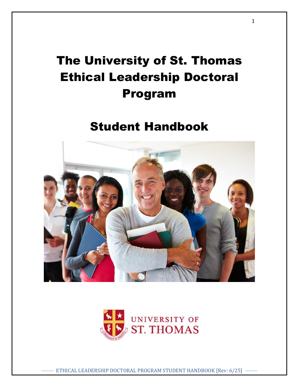# The University of St. Thomas Ethical Leadership Doctoral Program

# Student Handbook





ETHICAL LEADERSHIP DOCTORAL PROGRAM STUDENT HANDBOOK [Rev: 6/25]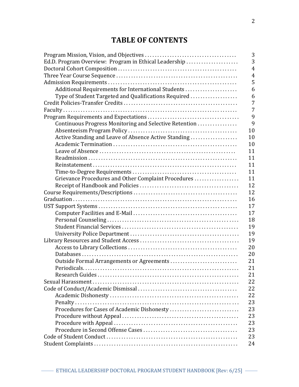# **TABLE OF CONTENTS**

|                                                        | 3              |
|--------------------------------------------------------|----------------|
| Ed.D. Program Overview: Program in Ethical Leadership  | 3              |
|                                                        | $\overline{4}$ |
|                                                        | $\overline{4}$ |
|                                                        | 5              |
| Additional Requirements for International Students     | 6              |
| Type of Student Targeted and Qualifications Required   | 6              |
|                                                        | 7              |
|                                                        | 7              |
|                                                        | 9              |
| Continuous Progress Monitoring and Selective Retention | 9              |
|                                                        | 10             |
| Active Standing and Leave of Absence Active Standing   | 10             |
|                                                        | 10             |
|                                                        | 11             |
|                                                        | 11             |
|                                                        | 11             |
|                                                        | 11             |
| Grievance Procedures and Other Complaint Procedures    | 11             |
|                                                        | 12             |
|                                                        | 12             |
|                                                        | 16             |
|                                                        | 17             |
|                                                        | 17             |
|                                                        | 18             |
|                                                        | 19             |
|                                                        | 19             |
|                                                        | 19             |
|                                                        | 20             |
|                                                        | 20             |
| Outside Formal Arrangements or Agreements              | 21             |
|                                                        | 21             |
|                                                        | 21             |
|                                                        | 22             |
|                                                        | 22             |
|                                                        | 22             |
|                                                        | 23             |
| Procedures for Cases of Academic Dishonesty            | 23             |
|                                                        | 23             |
|                                                        | 23             |
|                                                        | 23             |
|                                                        | 23             |
|                                                        | 24             |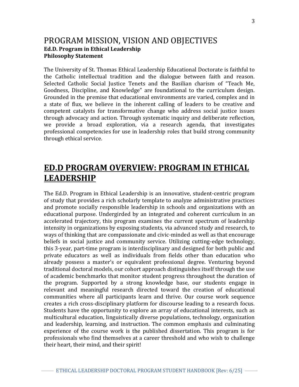# PROGRAM MISSION, VISION AND OBJECTIVES **Ed.D. Program in Ethical Leadership Philosophy Statement**

The University of St. Thomas Ethical Leadership Educational Doctorate is faithful to the Catholic intellectual tradition and the dialogue between faith and reason. Selected Catholic Social Justice Tenets and the Basilian charism of "Teach Me, Goodness, Discipline, and Knowledge" are foundational to the curriculum design. Grounded in the premise that educational environments are varied, complex and in a state of flux, we believe in the inherent calling of leaders to be creative and competent catalysts for transformative change who address social justice issues through advocacy and action. Through systematic inquiry and deliberate reflection, we provide a broad exploration, via a research agenda, that investigates professional competencies for use in leadership roles that build strong community through ethical service.

# **ED.D PROGRAM OVERVIEW: PROGRAM IN ETHICAL LEADERSHIP**

The Ed.D. Program in Ethical Leadership is an innovative, student-centric program of study that provides a rich scholarly template to analyze administrative practices and promote socially responsible leadership in schools and organizations with an educational purpose. Undergirded by an integrated and coherent curriculum in an accelerated trajectory, this program examines the current spectrum of leadership intensity in organizations by exposing students, via advanced study and research, to ways of thinking that are compassionate and civic-minded as well as that encourage beliefs in social justice and community service. Utilizing cutting-edge technology, this 3-year, part-time program is interdisciplinary and designed for both public and private educators as well as individuals from fields other than education who already possess a master's or equivalent professional degree. Venturing beyond traditional doctoral models, our cohort approach distinguishes itself through the use of academic benchmarks that monitor student progress throughout the duration of the program. Supported by a strong knowledge base, our students engage in relevant and meaningful research directed toward the creation of educational communities where all participants learn and thrive. Our course work sequence creates a rich cross-disciplinary platform for discourse leading to a research focus. Students have the opportunity to explore an array of educational interests, such as multicultural education, linguistically diverse populations, technology, organization and leadership, learning, and instruction. The common emphasis and culminating experience of the course work is the published dissertation. This program is for professionals who find themselves at a career threshold and who wish to challenge their heart, their mind, and their spirit!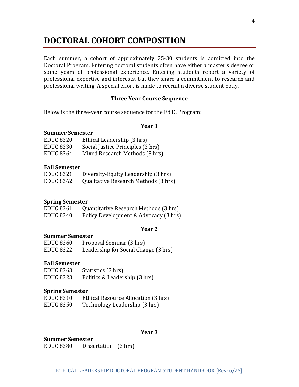# **DOCTORAL COHORT COMPOSITION**

Each summer, a cohort of approximately 25-30 students is admitted into the Doctoral Program. Entering doctoral students often have either a master's degree or some years of professional experience. Entering students report a variety of professional expertise and interests, but they share a commitment to research and professional writing. A special effort is made to recruit a diverse student body.

#### **Three Year Course Sequence**

Below is the three-year course sequence for the Ed.D. Program:

#### **Year 1**

#### **Summer Semester**

| <b>EDUC 8320</b> | Ethical Leadership (3 hrs)        |
|------------------|-----------------------------------|
| <b>EDUC 8330</b> | Social Justice Principles (3 hrs) |
| <b>EDUC 8364</b> | Mixed Research Methods (3 hrs)    |

#### **Fall Semester**

| <b>EDUC 8321</b> | Diversity-Equity Leadership (3 hrs)  |
|------------------|--------------------------------------|
| <b>EDUC 8362</b> | Qualitative Research Methods (3 hrs) |

#### **Spring Semester**

| <b>EDUC 8361</b> | Quantitative Research Methods (3 hrs) |
|------------------|---------------------------------------|
| <b>EDUC 8340</b> | Policy Development & Advocacy (3 hrs) |

## **Year 2**

#### **Summer Semester**

| <b>EDUC 8360</b> | Proposal Seminar (3 hrs)             |
|------------------|--------------------------------------|
| EDUC 8322        | Leadership for Social Change (3 hrs) |

#### **Fall Semester**

| EDUC 8363 | Statistics (3 hrs)            |
|-----------|-------------------------------|
| EDUC 8323 | Politics & Leadership (3 hrs) |

#### **Spring Semester**

| <b>EDUC 8310</b> | Ethical Resource Allocation (3 hrs) |
|------------------|-------------------------------------|
| <b>EDUC 8350</b> | Technology Leadership (3 hrs)       |

#### **Year 3**

#### **Summer Semester**

EDUC 8380 Dissertation I (3 hrs)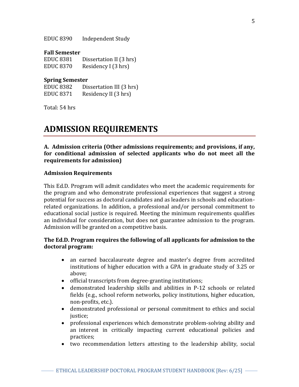EDUC 8390 Independent Study

#### **Fall Semester**

EDUC 8381 Dissertation II (3 hrs) EDUC 8370 Residency I (3 hrs)

#### **Spring Semester**

EDUC 8382 Dissertation III (3 hrs) EDUC 8371 Residency II (3 hrs)

Total: 54 hrs

# **ADMISSION REQUIREMENTS**

**A. Admission criteria (Other admissions requirements; and provisions, if any, for conditional admission of selected applicants who do not meet all the requirements for admission)**

#### **Admission Requirements**

This Ed.D. Program will admit candidates who meet the academic requirements for the program and who demonstrate professional experiences that suggest a strong potential for success as doctoral candidates and as leaders in schools and educationrelated organizations. In addition, a professional and/or personal commitment to educational social justice is required. Meeting the minimum requirements qualifies an individual for consideration, but does not guarantee admission to the program. Admission will be granted on a competitive basis.

### **The Ed.D. Program requires the following of all applicants for admission to the doctoral program:**

- an earned baccalaureate degree and master's degree from accredited institutions of higher education with a GPA in graduate study of 3.25 or above;
- official transcripts from degree-granting institutions;
- demonstrated leadership skills and abilities in P-12 schools or related fields (e.g., school reform networks, policy institutions, higher education, non-profits, etc.).
- demonstrated professional or personal commitment to ethics and social justice:
- professional experiences which demonstrate problem-solving ability and an interest in critically impacting current educational policies and practices;
- two recommendation letters attesting to the leadership ability, social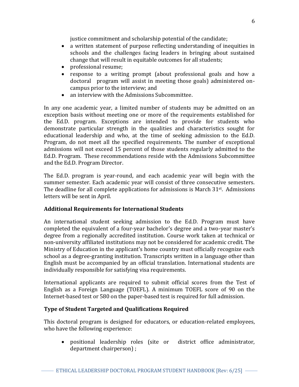justice commitment and scholarship potential of the candidate;

- a written statement of purpose reflecting understanding of inequities in schools and the challenges facing leaders in bringing about sustained change that will result in equitable outcomes for all students;
- professional resume;
- response to a writing prompt (about professional goals and how a doctoral program will assist in meeting those goals) administered oncampus prior to the interview; and
- an interview with the Admissions Subcommittee.

In any one academic year, a limited number of students may be admitted on an exception basis without meeting one or more of the requirements established for the Ed.D. program. Exceptions are intended to provide for students who demonstrate particular strength in the qualities and characteristics sought for educational leadership and who, at the time of seeking admission to the Ed.D. Program, do not meet all the specified requirements. The number of exceptional admissions will not exceed 15 percent of those students regularly admitted to the Ed.D. Program. These recommendations reside with the Admissions Subcommittee and the Ed.D. Program Director.

The Ed.D. program is year-round, and each academic year will begin with the summer semester. Each academic year will consist of three consecutive semesters. The deadline for all complete applications for admissions is March 31<sup>st</sup>. Admissions letters will be sent in April.

# **Additional Requirements for International Students**

An international student seeking admission to the Ed.D. Program must have completed the equivalent of a four-year bachelor's degree and a two-year master's degree from a regionally accredited institution. Course work taken at technical or non-university affiliated institutions may not be considered for academic credit. The Ministry of Education in the applicant's home country must officially recognize each school as a degree-granting institution. Transcripts written in a language other than English must be accompanied by an official translation. International students are individually responsible for satisfying visa requirements.

International applicants are required to submit official scores from the Test of English as a Foreign Language (TOEFL). A minimum TOEFL score of 90 on the Internet-based test or 580 on the paper-based test is required for full admission.

# **Type of Student Targeted and Qualifications Required**

This doctoral program is designed for educators, or education-related employees, who have the following experience:

 positional leadership roles (site or district office administrator, department chairperson) ;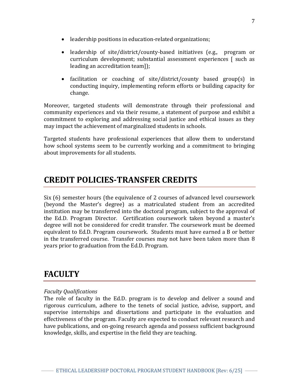- leadership positions in education-related organizations;
- leadership of site/district/county-based initiatives (e.g., program or curriculum development; substantial assessment experiences [ such as leading an accreditation team]);
- facilitation or coaching of site/district/county based group(s) in conducting inquiry, implementing reform efforts or building capacity for change.

Moreover, targeted students will demonstrate through their professional and community experiences and via their resume, a statement of purpose and exhibit a commitment to exploring and addressing social justice and ethical issues as they may impact the achievement of marginalized students in schools.

Targeted students have professional experiences that allow them to understand how school systems seem to be currently working and a commitment to bringing about improvements for all students.

# **CREDIT POLICIES-TRANSFER CREDITS**

Six (6) semester hours (the equivalence of 2 courses of advanced level coursework (beyond the Master's degree) as a matriculated student from an accredited institution may be transferred into the doctoral program, subject to the approval of the Ed.D. Program Director. Certification coursework taken beyond a master's degree will not be considered for credit transfer. The coursework must be deemed equivalent to Ed.D. Program coursework. Students must have earned a B or better in the transferred course. Transfer courses may not have been taken more than 8 years prior to graduation from the Ed.D. Program.

# **FACULTY**

# *Faculty Qualifications*

The role of faculty in the Ed.D. program is to develop and deliver a sound and rigorous curriculum, adhere to the tenets of social justice, advise, support, and supervise internships and dissertations and participate in the evaluation and effectiveness of the program. Faculty are expected to conduct relevant research and have publications, and on-going research agenda and possess sufficient background knowledge, skills, and expertise in the field they are teaching.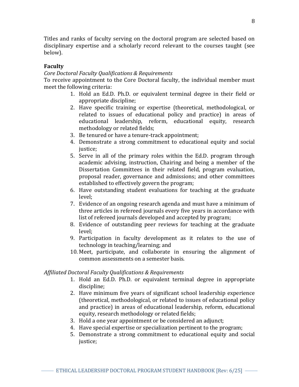Titles and ranks of faculty serving on the doctoral program are selected based on disciplinary expertise and a scholarly record relevant to the courses taught (see below).

# **Faculty**

# *Core Doctoral Faculty Qualifications & Requirements*

To receive appointment to the Core Doctoral faculty, the individual member must meet the following criteria:

- 1. Hold an Ed.D. Ph.D. or equivalent terminal degree in their field or appropriate discipline;
- 2. Have specific training or expertise (theoretical, methodological, or related to issues of educational policy and practice) in areas of educational leadership, reform, educational equity, research methodology or related fields;
- 3. Be tenured or have a tenure-track appointment;
- 4. Demonstrate a strong commitment to educational equity and social justice:
- 5. Serve in all of the primary roles within the Ed.D. program through academic advising, instruction, Chairing and being a member of the Dissertation Committees in their related field, program evaluation, proposal reader, governance and admissions; and other committees established to effectively govern the program;
- 6. Have outstanding student evaluations for teaching at the graduate level;
- 7. Evidence of an ongoing research agenda and must have a minimum of three articles in refereed journals every five years in accordance with list of refereed journals developed and accepted by program;
- 8. Evidence of outstanding peer reviews for teaching at the graduate level;
- 9. Participation in faculty development as it relates to the use of technology in teaching/learning; and
- 10. Meet, participate, and collaborate in ensuring the alignment of common assessments on a semester basis.

# *Affiliated Doctoral Faculty Qualifications & Requirements*

- 1. Hold an Ed.D. Ph.D. or equivalent terminal degree in appropriate discipline;
- 2. Have minimum five years of significant school leadership experience (theoretical, methodological, or related to issues of educational policy and practice) in areas of educational leadership, reform, educational equity, research methodology or related fields;
- 3. Hold a one year appointment or be considered an adjunct;
- 4. Have special expertise or specialization pertinent to the program;
- 5. Demonstrate a strong commitment to educational equity and social justice;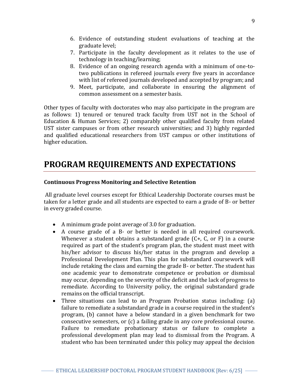- 6. Evidence of outstanding student evaluations of teaching at the graduate level;
- 7. Participate in the faculty development as it relates to the use of technology in teaching/learning;
- 8. Evidence of an ongoing research agenda with a minimum of one-totwo publications in refereed journals every five years in accordance with list of refereed journals developed and accepted by program; and
- 9. Meet, participate, and collaborate in ensuring the alignment of common assessment on a semester basis.

Other types of faculty with doctorates who may also participate in the program are as follows: 1) tenured or tenured track faculty from UST not in the School of Education & Human Services; 2) comparably other qualified faculty from related UST sister campuses or from other research universities; and 3) highly regarded and qualified educational researchers from UST campus or other institutions of higher education.

# **PROGRAM REQUIREMENTS AND EXPECTATIONS**

### **Continuous Progress Monitoring and Selective Retention**

All graduate level courses except for Ethical Leadership Doctorate courses must be taken for a letter grade and all students are expected to earn a grade of B- or better in every graded course.

- A minimum grade point average of 3.0 for graduation.
- A course grade of a B- or better is needed in all required coursework. Whenever a student obtains a substandard grade (C+, C, or F) in a course required as part of the student's program plan, the student must meet with his/her advisor to discuss his/her status in the program and develop a Professional Development Plan. This plan for substandard coursework will include retaking the class and earning the grade B- or better. The student has one academic year to demonstrate competence or probation or dismissal may occur, depending on the severity of the deficit and the lack of progress to remediate. According to University policy, the original substandard grade remains on the official transcript.
- Three situations can lead to an Program Probation status including: (a) failure to remediate a substandard grade in a course required in the student's program, (b) cannot have a below standard in a given benchmark for two consecutive semesters, or (c) a failing grade in any core professional course. Failure to remediate probationary status or failure to complete a professional development plan may lead to dismissal from the Program. A student who has been terminated under this policy may appeal the decision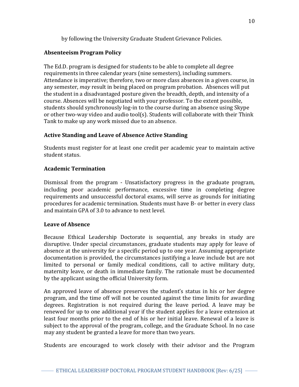by following the University Graduate Student Grievance Policies.

# **Absenteeism Program Policy**

The Ed.D. program is designed for students to be able to complete all degree requirements in three calendar years (nine semesters), including summers. Attendance is imperative; therefore, two or more class absences in a given course, in any semester, *may* result in being placed on program probation. Absences will put the student in a disadvantaged posture given the breadth, depth, and intensity of a course. Absences will be negotiated with your professor. To the extent possible, students should synchronously log-in to the course during an absence using Skype or other two-way video and audio tool(s). Students will collaborate with their Think Tank to make up any work missed due to an absence.

# **Active Standing and Leave of Absence Active Standing**

Students must register for at least one credit per academic year to maintain active student status.

# **Academic Termination**

Dismissal from the program - Unsatisfactory progress in the graduate program, including poor academic performance, excessive time in completing degree requirements and unsuccessful doctoral exams, will serve as grounds for initiating procedures for academic termination. Students must have B- or better in every class and maintain GPA of 3.0 to advance to next level.

# **Leave of Absence**

Because Ethical Leadership Doctorate is sequential, any breaks in study are disruptive. Under special circumstances, graduate students may apply for leave of absence at the university for a specific period up to one year. Assuming appropriate documentation is provided, the circumstances justifying a leave include but are not limited to personal or family medical conditions, call to active military duty, maternity leave, or death in immediate family. The rationale must be documented by the applicant using the official University form.

An approved leave of absence preserves the student's status in his or her degree program, and the time off will not be counted against the time limits for awarding degrees. Registration is not required during the leave period. A leave may be renewed for up to one additional year if the student applies for a leave extension at least four months prior to the end of his or her initial leave. Renewal of a leave is subject to the approval of the program, college, and the Graduate School. In no case may any student be granted a leave for more than two years.

Students are encouraged to work closely with their advisor and the Program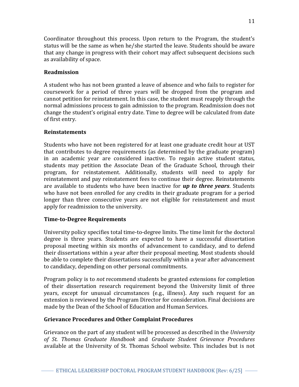Coordinator throughout this process. Upon return to the Program, the student's status will be the same as when he/she started the leave. Students should be aware that any change in progress with their cohort may affect subsequent decisions such as availability of space.

# **Readmission**

A student who has not been granted a leave of absence and who fails to register for coursework for a period of three years will be dropped from the program and cannot petition for reinstatement. In this case, the student must reapply through the normal admissions process to gain admission to the program. Readmission does not change the student's original entry date. Time to degree will be calculated from date of first entry.

# **Reinstatements**

Students who have not been registered for at least one graduate credit hour at UST that contributes to degree requirements (as determined by the graduate program) in an academic year are considered inactive. To regain active student status, students may petition the Associate Dean of the Graduate School, through their program, for reinstatement. Additionally, students will need to apply for reinstatement and pay reinstatement fees to continue their degree. Reinstatements are available to students who have been inactive for *up to three years*. Students who have not been enrolled for any credits in their graduate program for a period longer than three consecutive years are not eligible for reinstatement and must apply for readmission to the university.

# **Time-to-Degree Requirements**

University policy specifies total time-to-degree limits. The time limit for the doctoral degree is three years. Students are expected to have a successful dissertation proposal meeting within six months of advancement to candidacy, and to defend their dissertations within a year after their proposal meeting. Most students should be able to complete their dissertations successfully within a year after advancement to candidacy, depending on other personal commitments.

Program policy is to *not* recommend students be granted extensions for completion of their dissertation research requirement beyond the University limit of three years, except for unusual circumstances (e.g., illness). Any such request for an extension is reviewed by the Program Director for consideration. Final decisions are made by the Dean of the School of Education and Human Services.

# **Grievance Procedures and Other Complaint Procedures**

Grievance on the part of any student will be processed as described in the *University of St. Thomas Graduate Handbook* and *Graduate Student Grievance Procedures*  available at the University of St. Thomas School website. This includes but is not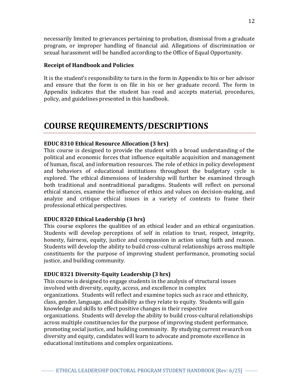necessarily limited to grievances pertaining to probation, dismissal from a graduate program, or improper handling of financial aid. Allegations of discrimination or sexual harassment will be handled according to the Office of Equal Opportunity.

### **Receipt of Handbook and Policies**

It is the student's responsibility to turn in the form in Appendix to his or her advisor and ensure that the form is on file in his or her graduate record. The form in Appendix indicates that the student has read and accepts material, procedures, policy, and guidelines presented in this handbook.

# **COURSE REQUIREMENTS/DESCRIPTIONS**

# **EDUC 8310 Ethical Resource Allocation (3 hrs)**

This course is designed to provide the student with a broad understanding of the political and economic forces that influence equitable acquisition and management of human, fiscal, and information resources. The role of ethics in policy development and behaviors of educational institutions throughout the budgetary cycle is explored. The ethical dimensions of leadership will further be examined through both traditional and nontraditional paradigms. Students will reflect on personal ethical stances, examine the influence of ethics and values on decision-making, and analyze and critique ethical issues in a variety of contexts to frame their professional ethical perspectives.

#### **EDUC 8320 Ethical Leadership (3 hrs)**

This course explores the qualities of an ethical leader and an ethical organization. Students will develop perceptions of self in relation to trust, respect, integrity, honesty, fairness, equity, justice and compassion in action using faith and reason. Students will develop the ability to build cross-cultural relationships across multiple constituents for the purpose of improving student performance, promoting social justice, and building community.

# **EDUC 8321 Diversity-Equity Leadership (3 hrs)**

This course is designed to engage students in the analysis of structural issues involved with diversity, equity, access, and excellence in complex organizations. Students will reflect and examine topics such as race and ethnicity, class, gender, language, and disability as they relate to equity. Students will gain knowledge and skills to effect positive changes in their respective organizations. Students will develop the ability to build cross-cultural relationships across multiple constituencies for the purpose of improving student performance, promoting social justice, and building community. By studying current research on diversity and equity, candidates will learn to advocate and promote excellence in educational institutions and complex organizations.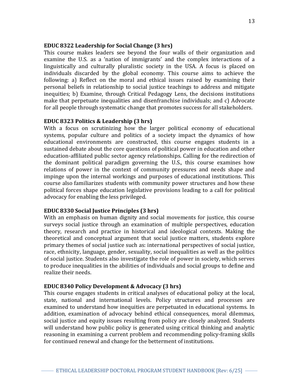#### **EDUC 8322 Leadership for Social Change (3 hrs)**

This course makes leaders see beyond the four walls of their organization and examine the U.S. as a 'nation of immigrants' and the complex interactions of a linguistically and culturally pluralistic society in the USA. A focus is placed on individuals discarded by the global economy. This course aims to achieve the following: a) Reflect on the moral and ethical issues raised by examining their personal beliefs in relationship to social justice teachings to address and mitigate inequities; b) Examine, through Critical Pedagogy Lens, the decisions institutions make that perpetuate inequalities and disenfranchise individuals; and c) Advocate for all people through systematic change that promotes success for all stakeholders.

#### **EDUC 8323 Politics & Leadership (3 hrs)**

With a focus on scrutinizing how the larger political economy of educational systems, popular culture and politics of a society impact the dynamics of how educational environments are constructed, this course engages students in a sustained debate about the core questions of political power in education and other education-affiliated public sector agency relationships. Calling for the redirection of the dominant political paradigm governing the U.S., this course examines how relations of power in the context of community pressures and needs shape and impinge upon the internal workings and purposes of educational institutions. This course also familiarizes students with community power structures and how these political forces shape education legislative provisions leading to a call for political advocacy for enabling the less privileged.

#### **EDUC 8330 Social Justice Principles (3 hrs)**

With an emphasis on human dignity and social movements for justice, this course surveys social justice through an examination of multiple perspectives, education theory, research and practice in historical and ideological contexts. Making the theoretical and conceptual argument that social justice matters, students explore primary themes of social justice such as: international perspectives of social justice, race, ethnicity, language, gender, sexuality, social inequalities as well as the politics of social justice. Students also investigate the role of power in society, which serves to produce inequalities in the abilities of individuals and social groups to define and realize their needs.

#### **EDUC 8340 Policy Development & Advocacy (3 hrs)**

This course engages students in critical analyses of educational policy at the local, state, national and international levels. Policy structures and processes are examined to understand how inequities are perpetuated in educational systems. In addition, examination of advocacy behind ethical consequences, moral dilemmas, social justice and equity issues resulting from policy are closely analyzed. Students will understand how public policy is generated using critical thinking and analytic reasoning in examining a current problem and recommending policy-framing skills for continued renewal and change for the betterment of institutions.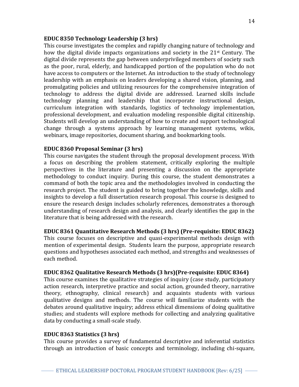#### **EDUC 8350 Technology Leadership (3 hrs)**

This course investigates the complex and rapidly changing nature of technology and how the digital divide impacts organizations and society in the 21<sup>st</sup> Century. The digital divide represents the gap between underprivileged members of society such as the poor, rural, elderly, and handicapped portion of the population who do not have access to computers or the Internet. An introduction to the study of technology leadership with an emphasis on leaders developing a shared vision, planning, and promulgating policies and utilizing resources for the comprehensive integration of technology to address the digital divide are addressed. Learned skills include technology planning and leadership that incorporate instructional design, curriculum integration with standards, logistics of technology implementation, professional development, and evaluation modeling responsible digital citizenship. Students will develop an understanding of how to create and support technological change through a systems approach by learning management systems, wikis, webinars, image repositories, document sharing, and bookmarking tools.

#### **EDUC 8360 Proposal Seminar (3 hrs)**

This course navigates the student through the proposal development process. With a focus on describing the problem statement, critically exploring the multiple perspectives in the literature and presenting a discussion on the appropriate methodology to conduct inquiry. During this course, the student demonstrates a command of both the topic area and the methodologies involved in conducting the research project. The student is guided to bring together the knowledge, skills and insights to develop a full dissertation research proposal. This course is designed to ensure the research design includes scholarly references, demonstrates a thorough understanding of research design and analysis, and clearly identifies the gap in the literature that is being addressed with the research.

### **EDUC 8361 Quantitative Research Methods (3 hrs) (Pre-requisite: EDUC 8362)**

This course focuses on descriptive and quasi-experimental methods design with mention of experimental design. Students learn the purpose, appropriate research questions and hypotheses associated each method, and strengths and weaknesses of each method.

#### **EDUC 8362 Qualitative Research Methods (3 hrs)(Pre-requisite: EDUC 8364)**

This course examines the qualitative strategies of inquiry (case study, participatory action research, interpretive practice and social action, grounded theory, narrative theory, ethnography, clinical research) and acquaints students with various qualitative designs and methods. The course will familiarize students with the debates around qualitative inquiry; address ethical dimensions of doing qualitative studies; and students will explore methods for collecting and analyzing qualitative data by conducting a small-scale study.

#### **EDUC 8363 Statistics (3 hrs)**

This course provides a survey of fundamental descriptive and inferential statistics through an introduction of basic concepts and terminology, including chi-square,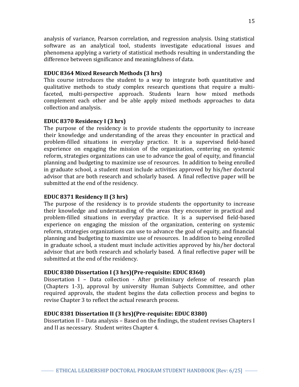analysis of variance, Pearson correlation, and regression analysis. Using statistical software as an analytical tool, students investigate educational issues and phenomena applying a variety of statistical methods resulting in understanding the difference between significance and meaningfulness of data.

## **EDUC 8364 Mixed Research Methods (3 hrs)**

This course introduces the student to a way to integrate both quantitative and qualitative methods to study complex research questions that require a multifaceted, multi-perspective approach. Students learn how mixed methods complement each other and be able apply mixed methods approaches to data collection and analysis.

### **EDUC 8370 Residency I (3 hrs)**

The purpose of the residency is to provide students the opportunity to increase their knowledge and understanding of the areas they encounter in practical and problem-filled situations in everyday practice. It is a supervised field-based experience on engaging the mission of the organization, centering on systemic reform, strategies organizations can use to advance the goal of equity, and financial planning and budgeting to maximize use of resources. In addition to being enrolled in graduate school, a student must include activities approved by his/her doctoral advisor that are both research and scholarly based. A final reflective paper will be submitted at the end of the residency.

# **EDUC 8371 Residency II (3 hrs)**

The purpose of the residency is to provide students the opportunity to increase their knowledge and understanding of the areas they encounter in practical and problem-filled situations in everyday practice. It is a supervised field-based experience on engaging the mission of the organization, centering on systemic reform, strategies organizations can use to advance the goal of equity, and financial planning and budgeting to maximize use of resources. In addition to being enrolled in graduate school, a student must include activities approved by his/her doctoral advisor that are both research and scholarly based. A final reflective paper will be submitted at the end of the residency.

#### **EDUC 8380 Dissertation I (3 hrs)(Pre-requisite: EDUC 8360)**

Dissertation I – Data collection - After preliminary defense of research plan (Chapters 1-3), approval by university Human Subjects Committee, and other required approvals, the student begins the data collection process and begins to revise Chapter 3 to reflect the actual research process.

#### **EDUC 8381 Dissertation II (3 hrs)(Pre-requisite: EDUC 8380)**

Dissertation II – Data analysis – Based on the findings, the student revises Chapters I and II as necessary. Student writes Chapter 4.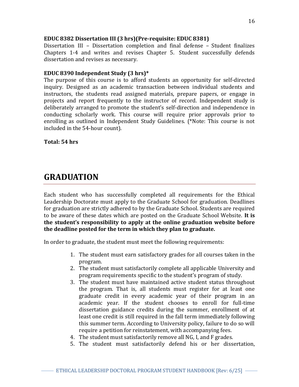## **EDUC 8382 Dissertation III (3 hrs)(Pre-requisite: EDUC 8381)**

Dissertation III – Dissertation completion and final defense *–* Student finalizes Chapters 1-4 and writes and revises Chapter 5. Student successfully defends dissertation and revises as necessary.

### **EDUC 8390 Independent Study (3 hrs)\***

The purpose of this course is to afford students an opportunity for self-directed inquiry. Designed as an academic transaction between individual students and instructors, the students read assigned materials, prepare papers, or engage in projects and report frequently to the instructor of record. Independent study is deliberately arranged to promote the student's self-direction and independence in conducting scholarly work. This course will require prior approvals prior to enrolling as outlined in Independent Study Guidelines. (\*Note: This course is not included in the 54-hour count).

**Total: 54 hrs**

# **GRADUATION**

Each student who has successfully completed all requirements for the Ethical Leadership Doctorate must apply to the Graduate School for graduation. Deadlines for graduation are strictly adhered to by the Graduate School. Students are required to be aware of these dates which are posted on the Graduate School Website. **It is the student's responsibility to apply at the online graduation website before the deadline posted for the term in which they plan to graduate.**

In order to graduate, the student must meet the following requirements:

- 1. The student must earn satisfactory grades for all courses taken in the program.
- 2. The student must satisfactorily complete all applicable University and program requirements specific to the student's program of study.
- 3. The student must have maintained active student status throughout the program. That is, all students must register for at least one graduate credit in every academic year of their program in an academic year. If the student chooses to enroll for full-time dissertation guidance credits during the summer, enrollment of at least one credit is still required in the fall term immediately following this summer term. According to University policy, failure to do so will require a petition for reinstatement, with accompanying fees.
- 4. The student must satisfactorily remove all NG, I, and F grades.
- 5. The student must satisfactorily defend his or her dissertation,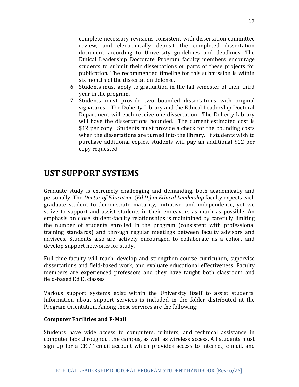complete necessary revisions consistent with dissertation committee review, and electronically deposit the completed dissertation document according to University guidelines and deadlines. The Ethical Leadership Doctorate Program faculty members encourage students to submit their dissertations or parts of these projects for publication. The recommended timeline for this submission is within six months of the dissertation defense.

- 6. Students must apply to graduation in the fall semester of their third year in the program.
- 7. Students must provide two bounded dissertations with original signatures. The Doherty Library and the Ethical Leadership Doctoral Department will each receive one dissertation. The Doherty Library will have the dissertations bounded. The current estimated cost is \$12 per copy. Students must provide a check for the bounding costs when the dissertations are turned into the library. If students wish to purchase additional copies, students will pay an additional \$12 per copy requested.

# **UST SUPPORT SYSTEMS**

Graduate study is extremely challenging and demanding, both academically and personally. The *Doctor of Education* (*Ed.D.) in Ethical Leadership* faculty expects each graduate student to demonstrate maturity, initiative, and independence, yet we strive to support and assist students in their endeavors as much as possible. An emphasis on close student-faculty relationships is maintained by carefully limiting the number of students enrolled in the program (consistent with professional training standards) and through regular meetings between faculty advisors and advisees. Students also are actively encouraged to collaborate as a cohort and develop support networks for study.

Full-time faculty will teach, develop and strengthen course curriculum, supervise dissertations and field-based work, and evaluate educational effectiveness. Faculty members are experienced professors and they have taught both classroom and field-based Ed.D. classes.

Various support systems exist within the University itself to assist students. Information about support services is included in the folder distributed at the Program Orientation. Among these services are the following:

# **Computer Facilities and E-Mail**

Students have wide access to computers, printers, and technical assistance in computer labs throughout the campus, as well as wireless access. All students must sign up for a CELT email account which provides access to internet, e-mail, and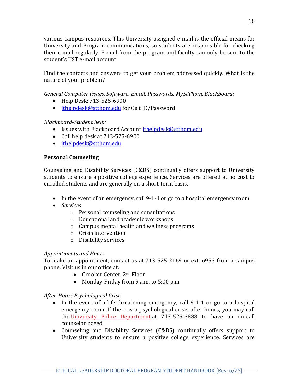various campus resources. This University-assigned e-mail is the official means for University and Program communications, so students are responsible for checking their e-mail regularly. E-mail from the program and faculty can only be sent to the student's UST e-mail account.

Find the contacts and answers to get your problem addressed quickly. What is the nature of your problem?

*General Computer Issues, Software, Email, Passwords, MyStThom, Blackboard:*

- Help Desk: 713-525-6900
- [ithelpdesk@stthom.edu](mailto:ithelpdesk@stthom.edu) for Celt ID/Password

# *Blackboard-Student help:*

- Issues with Blackboard Account *[ithelpdesk@stthom.edu](mailto:ithelpdesk@stthom.edu)*
- $\bullet$  Call help desk at 713-525-6900
- [ithelpdesk@stthom.edu](mailto:ithelpdesk@stthom.edu)

# **Personal Counseling**

Counseling and Disability Services (C&DS) continually offers support to University students to ensure a positive college experience. Services are offered at no cost to enrolled students and are generally on a short-term basis.

- In the event of an emergency, call 9-1-1 or go to a hospital emergency room.
- *Services*
	- o Personal counseling and consultations
	- o Educational and academic workshops
	- o Campus mental health and wellness programs
	- o Crisis intervention
	- o Disability services

# *Appointments and Hours*

To make an appointment, contact us at 713-525-2169 or ext. 6953 from a campus phone. Visit us in our office at:

- Crooker Center, 2<sup>nd</sup> Floor
- Monday-Friday from 9 a.m. to 5:00 p.m.

# *After-Hours Psychological Crisis*

- In the event of a life-threatening emergency, call 9-1-1 or go to a hospital emergency room. If there is a psychological crisis after hours, you may call the [University Police Department](http://www.stthom.edu/UPD) at 713-525-3888 to have an on-call counselor paged.
- Counseling and Disability Services (C&DS) continually offers support to University students to ensure a positive college experience. Services are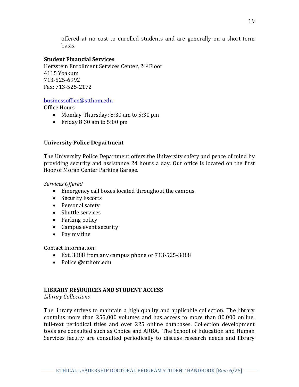offered at no cost to enrolled students and are generally on a short-term basis.

### **Student Financial Services**

Herzstein Enrollment Services Center, 2nd Floor 4115 Yoakum 713-525-6992 Fax: 713-525-2172

#### [businessoffice@stthom.edu](mailto:businessoffice@stthom.edu)

Office Hours

- Monday-Thursday: 8:30 am to 5:30 pm
- Friday  $8:30$  am to  $5:00$  pm

### **University Police Department**

The University Police Department offers the University safety and peace of mind by providing security and assistance 24 hours a day. Our office is located on the first floor of Moran Center Parking Garage.

*Services Offered*

- Emergency call boxes located throughout the campus
- Security Escorts
- Personal safety
- Shuttle services
- Parking policy
- Campus event security
- Pay my fine

Contact Information:

- Ext. 3888 from any campus phone or 713-525-3888
- Police @stthom.edu

#### **LIBRARY RESOURCES AND STUDENT ACCESS**

*Library Collections* 

The library strives to maintain a high quality and applicable collection. The library contains more than 255,000 volumes and has access to more than 80,000 online, full-text periodical titles and over 225 online databases. Collection development tools are consulted such as Choice and ARBA. The School of Education and Human Services faculty are consulted periodically to discuss research needs and library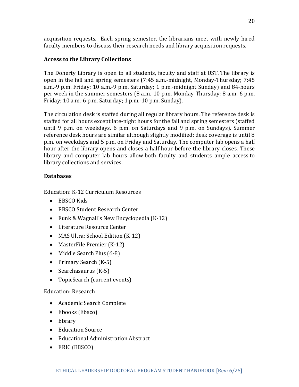acquisition requests. Each spring semester, the librarians meet with newly hired faculty members to discuss their research needs and library acquisition requests.

# **Access to the Library Collections**

The [Doherty Library](https://stthom.xitracs.net/accredit/jsp/viewurl.jsp?sessionId=3207D75ECF8D64FDB73E6BF27944F14A21C0FC480C61&standardId=6&requirementId=653&folderId=1238&doc_id=7936) is open to all students, faculty and staff at UST. The library is open in the fall and spring semesters (7:45 a.m.-midnight, Monday-Thursday; 7:45 a.m.-9 p.m. Friday; 10 a.m.-9 p.m. Saturday; 1 p.m.-midnight Sunday) and 84-hours per week in the summer semesters (8 a.m.-10 p.m. Monday-Thursday; 8 a.m.-6 p.m. Friday; 10 a.m.-6 p.m. Saturday; 1 p.m.-10 p.m. Sunday).

The circulation desk is staffed during all regular library hours. The reference desk is staffed for all hours except late-night hours for the fall and spring semesters (staffed until 9 p.m. on weekdays, 6 p.m. on Saturdays and 9 p.m. on Sundays). Summer reference desk hours are similar although slightly modified: desk coverage is until 8 p.m. on weekdays and 5 p.m. on Friday and Saturday. The computer lab opens a half hour after the library opens and closes a half hour before the library closes. These library and computer lab hours allow both faculty and students ample access to library collections and services.

# **Databases**

Education: K-12 Curriculum Resources

- [EBSCO Kids](http://www.stthom.edu/Public/getFile.asp?File_Content_ID=7695)
- [EBSCO Student Research Center](http://www.stthom.edu/Public/getFile.asp?File_Content_ID=7696)
- [Funk & Wagnall's New Encyclopedia \(K-12\)](http://www.stthom.edu/Public/getFile.asp?File_Content_ID=565)
- [Literature Resource Center](http://www.stthom.edu/Public/getFile.asp?File_Content_ID=584)
- [MAS Ultra: School Edition \(K-12\)](http://www.stthom.edu/Public/getFile.asp?File_Content_ID=585)
- [MasterFile Premier \(K-12\)](http://www.stthom.edu/Public/getFile.asp?File_Content_ID=586)
- [Middle Search Plus \(6-8\)](http://www.stthom.edu/Public/getFile.asp?File_Content_ID=591)
- [Primary Search \(K-5\)](http://www.stthom.edu/Public/getFile.asp?File_Content_ID=608)
- Searchasaurus  $(K-5)$
- [TopicSearch \(current events\)](http://www.stthom.edu/Public/getFile.asp?File_Content_ID=622)

# Education: Research

- [Academic Search Complete](http://www.stthom.edu/Public/getFile.asp?File_Content_ID=4051)
- [Ebooks \(Ebsco\)](http://www.stthom.edu/Public/getFile.asp?File_Content_ID=12940)
- [Ebrary](http://www.stthom.edu/Public/getFile.asp?File_Content_ID=10472)
- [Education Source](http://www.stthom.edu/Public/getFile.asp?File_Content_ID=15917)
- [Educational Administration Abstract](http://www.stthom.edu/Public/getFile.asp?File_Content_ID=111770)
- [ERIC \(EBSCO\)](http://www.stthom.edu/Public/getFile.asp?File_Content_ID=562)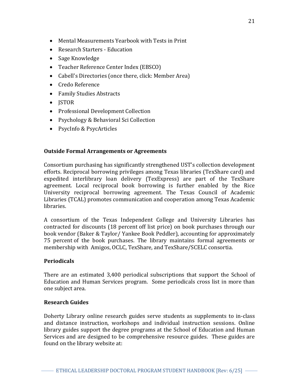- [Mental Measurements Yearbook with Tests in Print](http://www.stthom.edu/Public/getFile.asp?File_Content_ID=13318)
- [Research Starters -](http://www.stthom.edu/Public/getFile.asp?File_Content_ID=11028) Education
- [Sage Knowledge](http://www.stthom.edu/Public/getFile.asp?File_Content_ID=10766)
- [Teacher Reference Center Index \(EBSCO\)](http://www.stthom.edu/Public/getFile.asp?File_Content_ID=5722)
- [Cabell's Directories \(once there, click: Member Area\)](http://www.stthom.edu/Public/getFile.asp?File_Content_ID=1874)
- [Credo Reference](http://www.stthom.edu/Public/getFile.asp?File_Content_ID=8303)
- [Family Studies Abstracts](http://www.stthom.edu/Public/getFile.asp?File_Content_ID=111772)
- **[JSTOR](http://www.stthom.edu/Public/getFile.asp?File_Content_ID=581)**
- [Professional Development Collection](http://www.stthom.edu/Public/getFile.asp?File_Content_ID=609)
- [Psychology & Behavioral Sci Collection](http://www.stthom.edu/Public/getFile.asp?File_Content_ID=611)
- [PsycInfo & PsycArticles](http://www.stthom.edu/Public/getFile.asp?File_Content_ID=612)

### **Outside Formal Arrangements or Agreements**

Consortium purchasing has significantly strengthened UST's collection development efforts. Reciprocal borrowing privileges among Texas libraries (TexShare card) and expedited interlibrary loan delivery (TexExpress) are part of the TexShare agreement. Local reciprocal book borrowing is further enabled by the Rice University reciprocal borrowing agreement. The Texas Council of Academic Libraries (TCAL) promotes communication and cooperation among Texas Academic libraries.

A consortium of the Texas Independent College and University Libraries has contracted for discounts (18 percent off list price) on book purchases through our book vendor (Baker & Taylor/ Yankee Book Peddler), accounting for approximately 75 percent of the book purchases. The library maintains formal agreements or membership with [Amigos,](https://stthom.xitracs.net/accredit/jsp/viewitem.jsp?sessionId=3207D75ECF8D64FDB73E6BF27944F14A21C0FC480C61&standardId=6&requirementId=653&folderId=1292&doc_id=7992) [OCLC,](https://stthom.xitracs.net/accredit/jsp/viewitem.jsp?sessionId=3207D75ECF8D64FDB73E6BF27944F14A21C0FC480C61&standardId=6&requirementId=653&folderId=1293&doc_id=7993) TexShare, and [TexShare/SCELC](https://stthom.xitracs.net/accredit/jsp/viewitem.jsp?sessionId=3207D75ECF8D64FDB73E6BF27944F14A21C0FC480C61&standardId=6&requirementId=653&folderId=1291&doc_id=7991) consortia.

#### **Periodicals**

There are an estimated 3,400 periodical subscriptions that support the School of Education and Human Services program. Some periodicals cross list in more than one subject area.

#### **Research Guides**

[Doherty Library online research guides](https://stthom.xitracs.net/accredit/jsp/viewurl.jsp?sessionId=3206BF8585690A906856FFA3B9D28C333B707C8D0376&standardId=6&requirementId=631&folderId=1074&doc_id=7660) serve students as supplements to in-class and distance instruction, workshops and individual instruction sessions. Online library guides support the degree programs at the School of Education and Human Services and are designed to be comprehensive resource guides. These guides are found on the library website at: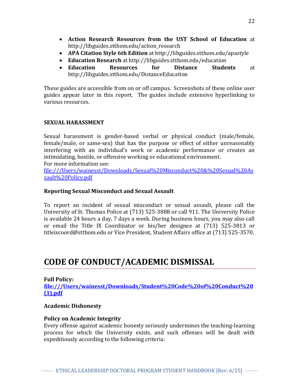- **[Action Research Resources from the UST School of Education](http://libguides.stthom.edu/action_research)** at http://libguides.stthom.edu/action\_research
- **[APA Citation Style 6th Edition](http://libguides.stthom.edu/apastyle)** at http://libguides.stthom.edu/apastyle
- **[Education Research](http://libguides.stthom.edu/education)** at http://libguides.stthom.edu/education
- **[Education Resources for Distance Students](http://libguides.stthom.edu/DistanceEducation)** at http://libguides.stthom.edu/DistanceEducation

These guides are accessible from on or off campus. Screenshots of these online user guides appear later in this report. The guides include extensive hyperlinking to various resources.

### **SEXUAL HARASSMENT**

Sexual harassment is gender-based verbal or physical conduct (male/female, female/male, or same-sex) that has the purpose or effect of either unreasonably interfering with an individual's work or academic performance or creates an intimidating, hostile, or offensive working or educational environment.

For more information see:

[file:///Users/wainesst/Downloads/Sexual%20Misconduct%20&%20Sexual%20As](file:///C:/Users/wainesst/Downloads/Sexual%20Misconduct%20&%20Sexual%20Assault%20Policy.pdf) [sault%20Policy.pdf](file:///C:/Users/wainesst/Downloads/Sexual%20Misconduct%20&%20Sexual%20Assault%20Policy.pdf)

### **Reporting Sexual Misconduct and Sexual Assault**

To report an incident of sexual misconduct or sexual assault, please call the University of St. Thomas Police at (713) 525-3888 or call 911. The University Police is available 24 hours a day, 7 days a week. During business hours, you may also call or email the Title IX Coordinator or his/her designee at (713) 525-3813 or titleixcoord@stthom.edu or Vice President, Student Affairs office at (713) 525-3570.

# **CODE OF CONDUCT/ACADEMIC DISMISSAL**

# **Full Policy:**

**[file:///Users/wainesst/Downloads/Student%20Code%20of%20Conduct%20](file:///C:/Users/wainesst/Downloads/Student%20Code%20of%20Conduct%20(1).pdf) [\(1\).pdf](file:///C:/Users/wainesst/Downloads/Student%20Code%20of%20Conduct%20(1).pdf)**

# **Academic Dishonesty**

# **Policy on Academic Integrity**

Every offense against academic honesty seriously undermines the teaching-learning process for which the University exists, and such offenses will be dealt with expeditiously according to the following criteria: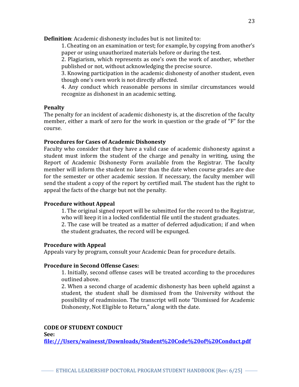**Definition**: Academic dishonesty includes but is not limited to:

1. Cheating on an examination or test; for example, by copying from another's paper or using unauthorized materials before or during the test.

2. Plagiarism, which represents as one's own the work of another, whether published or not, without acknowledging the precise source.

3. Knowing participation in the academic dishonesty of another student, even though one's own work is not directly affected.

4. Any conduct which reasonable persons in similar circumstances would recognize as dishonest in an academic setting.

#### **Penalty**

The penalty for an incident of academic dishonesty is, at the discretion of the faculty member, either a mark of zero for the work in question or the grade of "F" for the course.

#### **Procedures for Cases of Academic Dishonesty**

Faculty who consider that they have a valid case of academic dishonesty against a student must inform the student of the charge and penalty in writing, using the Report of Academic Dishonesty Form available from the Registrar. The faculty member will inform the student no later than the date when course grades are due for the semester or other academic session. If necessary, the faculty member will send the student a copy of the report by certified mail. The student has the right to appeal the facts of the charge but not the penalty.

#### **Procedure without Appeal**

1. The original signed report will be submitted for the record to the Registrar, who will keep it in a locked confidential file until the student graduates. 2. The case will be treated as a matter of deferred adjudication; if and when the student graduates, the record will be expunged.

#### **Procedure with Appeal**

Appeals vary by program, consult your Academic Dean for procedure details.

#### **Procedure in Second Offense Cases:**

1. Initially, second offense cases will be treated according to the procedures outlined above.

2. When a second charge of academic dishonesty has been upheld against a student, the student shall be dismissed from the University without the possibility of readmission. The transcript will note "Dismissed for Academic Dishonesty, Not Eligible to Return," along with the date.

#### **CODE OF STUDENT CONDUCT**

**See:** 

**[file:///Users/wainesst/Downloads/Student%20Code%20of%20Conduct.pdf](file:///C:/Users/wainesst/Downloads/Student%20Code%20of%20Conduct.pdf)**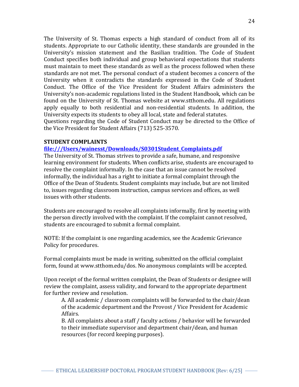The University of St. Thomas expects a high standard of conduct from all of its students. Appropriate to our Catholic identity, these standards are grounded in the University's mission statement and the Basilian tradition. The Code of Student Conduct specifies both individual and group behavioral expectations that students must maintain to meet these standards as well as the process followed when these standards are not met. The personal conduct of a student becomes a concern of the University when it contradicts the standards expressed in the Code of Student Conduct. The Office of the Vice President for Student Affairs administers the University's non-academic regulations listed in the Student Handbook, which can be found on the University of St. Thomas website at www.stthom.edu. All regulations apply equally to both residential and non-residential students. In addition, the University expects its students to obey all local, state and federal statutes. Questions regarding the Code of Student Conduct may be directed to the Office of the Vice President for Student Affairs (713) 525-3570.

#### **STUDENT COMPLAINTS**

#### **[file:///Users/wainesst/Downloads/S0301Student\\_Complaints.pdf](file:///C:/Users/wainesst/Downloads/S0301Student_Complaints.pdf)**

The University of St. Thomas strives to provide a safe, humane, and responsive learning environment for students. When conflicts arise, students are encouraged to resolve the complaint informally. In the case that an issue cannot be resolved informally, the individual has a right to initiate a formal complaint through the Office of the Dean of Students. Student complaints may include, but are not limited to, issues regarding classroom instruction, campus services and offices, as well issues with other students.

Students are encouraged to resolve all complaints informally, first by meeting with the person directly involved with the complaint. If the complaint cannot resolved, students are encouraged to submit a formal complaint.

NOTE: If the complaint is one regarding academics, see the Academic Grievance Policy for procedures.

Formal complaints must be made in writing, submitted on the official complaint form, found at www.stthom.edu/dos. No anonymous complaints will be accepted.

Upon receipt of the formal written complaint, the Dean of Students or designee will review the complaint, assess validity, and forward to the appropriate department for further review and resolution.

A. All academic / classroom complaints will be forwarded to the chair/dean of the academic department and the Provost / Vice President for Academic Affairs.

B. All complaints about a staff / faculty actions / behavior will be forwarded to their immediate supervisor and department chair/dean, and human resources (for record keeping purposes).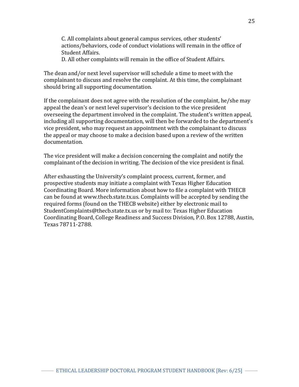C. All complaints about general campus services, other students' actions/behaviors, code of conduct violations will remain in the office of Student Affairs.

D. All other complaints will remain in the office of Student Affairs.

The dean and/or next level supervisor will schedule a time to meet with the complainant to discuss and resolve the complaint. At this time, the complainant should bring all supporting documentation.

If the complainant does not agree with the resolution of the complaint, he/she may appeal the dean's or next level supervisor's decision to the vice president overseeing the department involved in the complaint. The student's written appeal, including all supporting documentation, will then be forwarded to the department's vice president, who may request an appointment with the complainant to discuss the appeal or may choose to make a decision based upon a review of the written documentation.

The vice president will make a decision concerning the complaint and notify the complainant of the decision in writing. The decision of the vice president is final.

After exhausting the University's complaint process, current, former, and prospective students may initiate a complaint with Texas Higher Education Coordinating Board. More information about how to file a complaint with THECB can be found at www.thecb.state.tx.us. Complaints will be accepted by sending the required forms (found on the THECB website) either by electronic mail to StudentComplaints@thecb.state.tx.us or by mail to: Texas Higher Education Coordinating Board, College Readiness and Success Division, P.O. Box 12788, Austin, Texas 78711-2788.